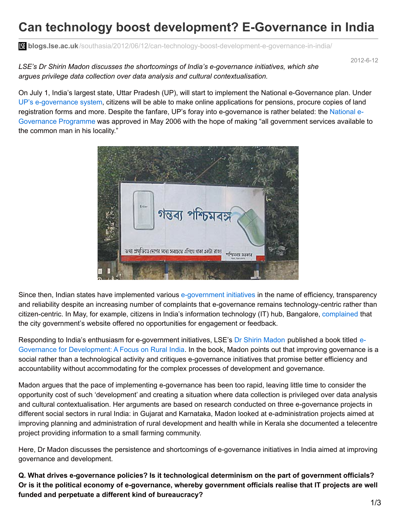# **Can technology boost development? E-Governance in India**

**blogs.lse.ac.uk**[/southasia/2012/06/12/can-technology-boost-development-e-governance-in-india/](http://blogs.lse.ac.uk/southasia/2012/06/12/can-technology-boost-development-e-governance-in-india/)

2012-6-12

*LSE's Dr Shirin Madon discusses the shortcomings of India's e-governance initiatives, which she argues privilege data collection over data analysis and cultural contextualisation.*

On July 1, India's largest state, Uttar Pradesh (UP), will start to implement the National e-Governance plan. Under UP's [e-governance](http://articles.timesofindia.indiatimes.com/2012-04-28/lucknow/31451602_1_national-e-governance-lakh-certificates-pilot-project) system, citizens will be able to make online applications for pensions, procure copies of land registration forms and more. Despite the fanfare, UP's foray into [e-governance](http://india.gov.in/sectors/communication/e-governance.php) is rather belated: the National e-Governance Programme was approved in May 2006 with the hope of making "all government services available to the common man in his locality."



Since then, Indian states have implemented various [e-government](http://www.business-standard.com/generalnews/news/haryana-govt-constitutes-management-team-for-e-governance/8155/) initiatives in the name of efficiency, transparency and reliability despite an increasing number of complaints that e-governance remains technology-centric rather than citizen-centric. In May, for example, citizens in India's information technology (IT) hub, Bangalore, [complained](http://www.dnaindia.com/bangalore/report_e-governance-doesnt-click-in-bangalore_1688920) that the city government's website offered no opportunities for engagement or feedback.

Responding to India's enthusiasm for [e-government](http://www.palgrave.com/products/title.aspx?pid=286279) initiatives, LSE's Dr Shirin [Madon](http://www2.lse.ac.uk/researchAndExpertise/Experts/s.madon@lse.ac.uk) published a book titled e-Governance for Development: A Focus on Rural India. In the book, Madon points out that improving governance is a social rather than a technological activity and critiques e-governance initiatives that promise better efficiency and accountability without accommodating for the complex processes of development and governance.

Madon argues that the pace of implementing e-governance has been too rapid, leaving little time to consider the opportunity cost of such 'development' and creating a situation where data collection is privileged over data analysis and cultural contextualisation. Her arguments are based on research conducted on three e-governance projects in different social sectors in rural India: in Gujarat and Karnataka, Madon looked at e-administration projects aimed at improving planning and administration of rural development and health while in Kerala she documented a telecentre project providing information to a small farming community.

Here, Dr Madon discusses the persistence and shortcomings of e-governance initiatives in India aimed at improving governance and development.

**Q. What drives e-governance policies? Is it technological determinism on the part of government officials?** Or is it the political economy of e-governance, whereby government officials realise that IT projects are well **funded and perpetuate a different kind of bureaucracy?**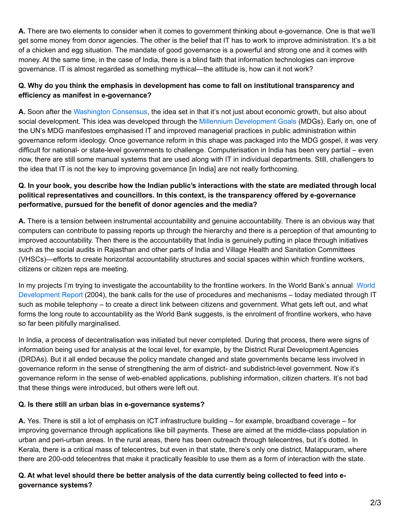**A.** There are two elements to consider when it comes to government thinking about e-governance. One is that we'll get some money from donor agencies. The other is the belief that IT has to work to improve administration. It's a bit of a chicken and egg situation. The mandate of good governance is a powerful and strong one and it comes with money. At the same time, in the case of India, there is a blind faith that information technologies can improve governance. IT is almost regarded as something mythical—the attitude is, how can it not work?

## **Q. Why do you think the emphasis in development has come to fall on institutional transparency and efficiency as manifest in e-governance?**

**A.** Soon after the [Washington](http://www.who.int/trade/glossary/story094/en/index.html) Consensus, the idea set in that it's not just about economic growth, but also about social development. This idea was developed through the Millennium [Development](http://www.un.org/millenniumgoals/bkgd.shtml) Goals (MDGs). Early on, one of the UN's MDG manifestoes emphasised IT and improved managerial practices in public administration within governance reform ideology. Once governance reform in this shape was packaged into the MDG gospel, it was very difficult for national- or state-level governments to challenge. Computerisation in India has been very partial – even now, there are still some manual systems that are used along with IT in individual departments. Still, challengers to the idea that IT is not the key to improving governance [in India] are not really forthcoming.

## Q. In your book, you describe how the Indian public's interactions with the state are mediated through local **political representatives and councillors. In this context, is the transparency offered by e-governance performative, pursued for the benefit of donor agencies and the media?**

**A.** There is a tension between instrumental accountability and genuine accountability. There is an obvious way that computers can contribute to passing reports up through the hierarchy and there is a perception of that amounting to improved accountability. Then there is the accountability that India is genuinely putting in place through initiatives such as the social audits in Rajasthan and other parts of India and Village Health and Sanitation Committees (VHSCs)—efforts to create horizontal accountability structures and social spaces within which frontline workers, citizens or citizen reps are meeting.

In my projects I'm trying to investigate the [accountability](http://web.worldbank.org/WBSITE/EXTERNAL/EXTDEC/EXTRESEARCH/EXTWDRS/0,,contentMDK:23062333~pagePK:478093~piPK:477627~theSitePK:477624,00.html) to the frontline workers. In the World Bank's annual World Development Report (2004), the bank calls for the use of procedures and mechanisms – today mediated through IT such as mobile telephony – to create a direct link between citizens and government. What gets left out, and what forms the long route to accountability as the World Bank suggests, is the enrolment of frontline workers, who have so far been pitifully marginalised.

In India, a process of decentralisation was initiated but never completed. During that process, there were signs of information being used for analysis at the local level, for example, by the District Rural Development Agencies (DRDAs). But it all ended because the policy mandate changed and state governments became less involved in governance reform in the sense of strengthening the arm of district- and subdistrict-level government. Now it's governance reform in the sense of web-enabled applications, publishing information, citizen charters. It's not bad that these things were introduced, but others were left out.

## **Q. Is there still an urban bias in e-governance systems?**

**A.** Yes. There is still a lot of emphasis on ICT infrastructure building – for example, broadband coverage – for improving governance through applications like bill payments. These are aimed at the middle-class population in urban and peri-urban areas. In the rural areas, there has been outreach through telecentres, but it's dotted. In Kerala, there is a critical mass of telecentres, but even in that state, there's only one district, Malappuram, where there are 200-odd telecentres that make it practically feasible to use them as a form of interaction with the state.

## Q. At what level should there be better analysis of the data currently being collected to feed into e**governance systems?**